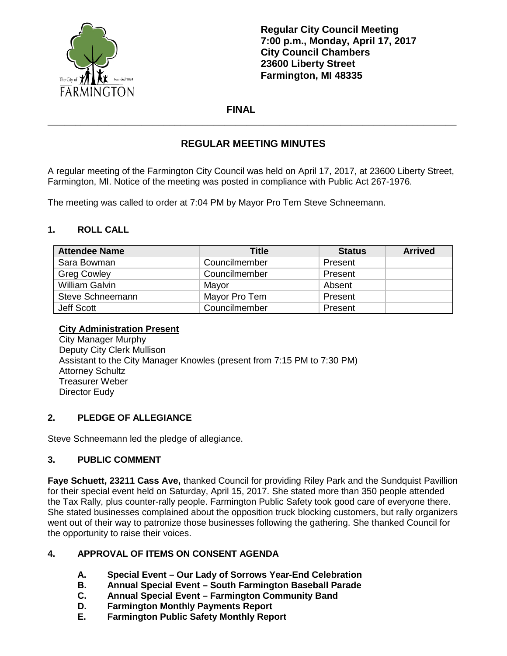

**Regular City Council Meeting 7:00 p.m., Monday, April 17, 2017 City Council Chambers 23600 Liberty Street Farmington, MI 48335**

### **FINAL**

# **REGULAR MEETING MINUTES**

**\_\_\_\_\_\_\_\_\_\_\_\_\_\_\_\_\_\_\_\_\_\_\_\_\_\_\_\_\_\_\_\_\_\_\_\_\_\_\_\_\_\_\_\_\_\_\_\_\_\_\_\_\_\_\_\_\_\_\_\_\_\_\_\_\_\_\_\_\_\_\_\_\_\_**

A regular meeting of the Farmington City Council was held on April 17, 2017, at 23600 Liberty Street, Farmington, MI. Notice of the meeting was posted in compliance with Public Act 267-1976.

The meeting was called to order at 7:04 PM by Mayor Pro Tem Steve Schneemann.

### **1. ROLL CALL**

| <b>Attendee Name</b>  | <b>Title</b>  | <b>Status</b> | <b>Arrived</b> |
|-----------------------|---------------|---------------|----------------|
| Sara Bowman           | Councilmember | Present       |                |
| <b>Greg Cowley</b>    | Councilmember | Present       |                |
| <b>William Galvin</b> | Mayor         | Absent        |                |
| Steve Schneemann      | Mayor Pro Tem | Present       |                |
| Jeff Scott            | Councilmember | Present       |                |

#### **City Administration Present**

City Manager Murphy Deputy City Clerk Mullison Assistant to the City Manager Knowles (present from 7:15 PM to 7:30 PM) Attorney Schultz Treasurer Weber Director Eudy

### **2. PLEDGE OF ALLEGIANCE**

Steve Schneemann led the pledge of allegiance.

### **3. PUBLIC COMMENT**

**Faye Schuett, 23211 Cass Ave,** thanked Council for providing Riley Park and the Sundquist Pavillion for their special event held on Saturday, April 15, 2017. She stated more than 350 people attended the Tax Rally, plus counter-rally people. Farmington Public Safety took good care of everyone there. She stated businesses complained about the opposition truck blocking customers, but rally organizers went out of their way to patronize those businesses following the gathering. She thanked Council for the opportunity to raise their voices.

### **4. APPROVAL OF ITEMS ON CONSENT AGENDA**

- **A. Special Event – Our Lady of Sorrows Year-End Celebration**
- **B. Annual Special Event – South Farmington Baseball Parade**
- **C. Annual Special Event – Farmington Community Band**
- **D. Farmington Monthly Payments Report**
- **E. Farmington Public Safety Monthly Report**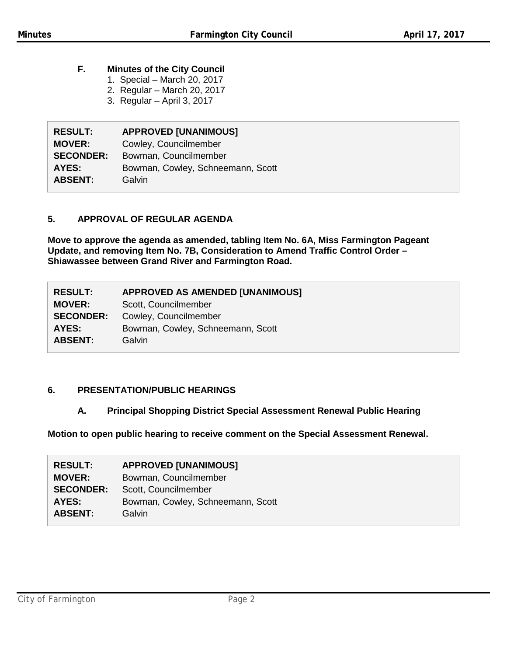## **F. Minutes of the City Council**

- 1. Special March 20, 2017
- 2. Regular March 20, 2017
- 3. Regular April 3, 2017

| <b>RESULT:</b>   | <b>APPROVED [UNANIMOUS]</b>       |
|------------------|-----------------------------------|
| <b>MOVER:</b>    | Cowley, Councilmember             |
| <b>SECONDER:</b> | Bowman, Councilmember             |
| AYES:            | Bowman, Cowley, Schneemann, Scott |
| <b>ABSENT:</b>   | Galvin                            |

## **5. APPROVAL OF REGULAR AGENDA**

**Move to approve the agenda as amended, tabling Item No. 6A, Miss Farmington Pageant Update, and removing Item No. 7B, Consideration to Amend Traffic Control Order – Shiawassee between Grand River and Farmington Road.**

| <b>RESULT:</b>   | <b>APPROVED AS AMENDED [UNANIMOUS]</b> |
|------------------|----------------------------------------|
| <b>MOVER:</b>    | Scott, Councilmember                   |
| <b>SECONDER:</b> | Cowley, Councilmember                  |
| AYES:            | Bowman, Cowley, Schneemann, Scott      |
| <b>ABSENT:</b>   | Galvin                                 |
|                  |                                        |

## **6. PRESENTATION/PUBLIC HEARINGS**

### **A. Principal Shopping District Special Assessment Renewal Public Hearing**

**Motion to open public hearing to receive comment on the Special Assessment Renewal.**

| <b>RESULT:</b>   | <b>APPROVED [UNANIMOUS]</b>       |
|------------------|-----------------------------------|
| <b>MOVER:</b>    | Bowman, Councilmember             |
| <b>SECONDER:</b> | Scott, Councilmember              |
| AYES:            | Bowman, Cowley, Schneemann, Scott |
| <b>ABSENT:</b>   | Galvin                            |
|                  |                                   |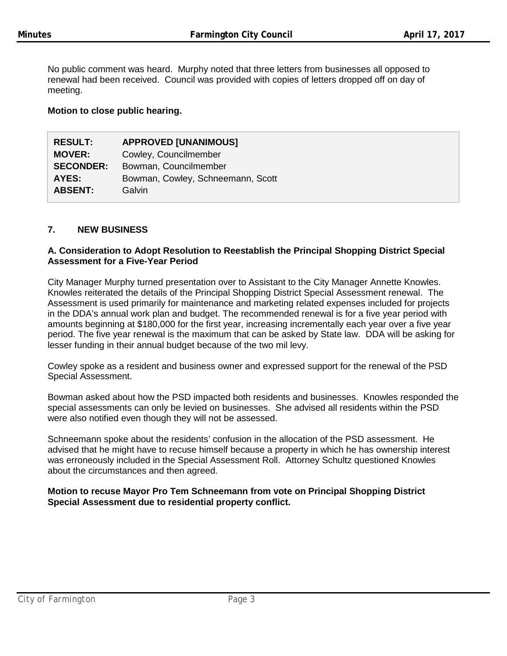No public comment was heard. Murphy noted that three letters from businesses all opposed to renewal had been received. Council was provided with copies of letters dropped off on day of meeting.

### **Motion to close public hearing.**

| <b>RESULT:</b>   | <b>APPROVED [UNANIMOUS]</b>       |
|------------------|-----------------------------------|
| <b>MOVER:</b>    | Cowley, Councilmember             |
| <b>SECONDER:</b> | Bowman, Councilmember             |
| AYES:            | Bowman, Cowley, Schneemann, Scott |
| <b>ABSENT:</b>   | Galvin                            |

### **7. NEW BUSINESS**

### **A. Consideration to Adopt Resolution to Reestablish the Principal Shopping District Special Assessment for a Five-Year Period**

City Manager Murphy turned presentation over to Assistant to the City Manager Annette Knowles. Knowles reiterated the details of the Principal Shopping District Special Assessment renewal. The Assessment is used primarily for maintenance and marketing related expenses included for projects in the DDA's annual work plan and budget. The recommended renewal is for a five year period with amounts beginning at \$180,000 for the first year, increasing incrementally each year over a five year period. The five year renewal is the maximum that can be asked by State law. DDA will be asking for lesser funding in their annual budget because of the two mil levy.

Cowley spoke as a resident and business owner and expressed support for the renewal of the PSD Special Assessment.

Bowman asked about how the PSD impacted both residents and businesses. Knowles responded the special assessments can only be levied on businesses. She advised all residents within the PSD were also notified even though they will not be assessed.

Schneemann spoke about the residents' confusion in the allocation of the PSD assessment. He advised that he might have to recuse himself because a property in which he has ownership interest was erroneously included in the Special Assessment Roll. Attorney Schultz questioned Knowles about the circumstances and then agreed.

**Motion to recuse Mayor Pro Tem Schneemann from vote on Principal Shopping District Special Assessment due to residential property conflict.**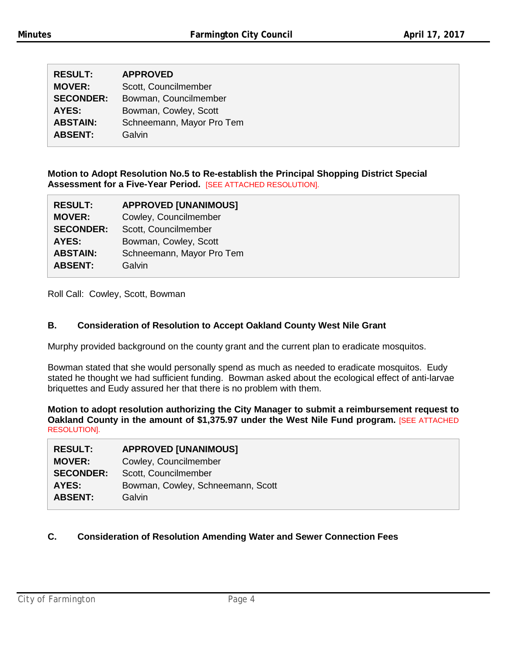| <b>RESULT:</b>   | <b>APPROVED</b>           |
|------------------|---------------------------|
| <b>MOVER:</b>    | Scott, Councilmember      |
| <b>SECONDER:</b> | Bowman, Councilmember     |
| AYES:            | Bowman, Cowley, Scott     |
| <b>ABSTAIN:</b>  | Schneemann, Mayor Pro Tem |
| <b>ABSENT:</b>   | Galvin                    |

**Motion to Adopt Resolution No.5 to Re-establish the Principal Shopping District Special Assessment for a Five-Year Period.** [SEE ATTACHED RESOLUTION].

| <b>RESULT:</b>   | <b>APPROVED [UNANIMOUS]</b> |
|------------------|-----------------------------|
| <b>MOVER:</b>    | Cowley, Councilmember       |
| <b>SECONDER:</b> | Scott, Councilmember        |
| AYES:            | Bowman, Cowley, Scott       |
| <b>ABSTAIN:</b>  | Schneemann, Mayor Pro Tem   |
| <b>ABSENT:</b>   | Galvin                      |

Roll Call: Cowley, Scott, Bowman

### **B. Consideration of Resolution to Accept Oakland County West Nile Grant**

Murphy provided background on the county grant and the current plan to eradicate mosquitos.

Bowman stated that she would personally spend as much as needed to eradicate mosquitos. Eudy stated he thought we had sufficient funding. Bowman asked about the ecological effect of anti-larvae briquettes and Eudy assured her that there is no problem with them.

**Motion to adopt resolution authorizing the City Manager to submit a reimbursement request to Oakland County in the amount of \$1,375.97 under the West Nile Fund program.** [SEE ATTACHED RESOLUTION].

| <b>RESULT:</b>   | <b>APPROVED [UNANIMOUS]</b>       |
|------------------|-----------------------------------|
| <b>MOVER:</b>    | Cowley, Councilmember             |
| <b>SECONDER:</b> | Scott, Councilmember              |
| <b>AYES:</b>     | Bowman, Cowley, Schneemann, Scott |
| <b>ABSENT:</b>   | Galvin                            |

### **C. Consideration of Resolution Amending Water and Sewer Connection Fees**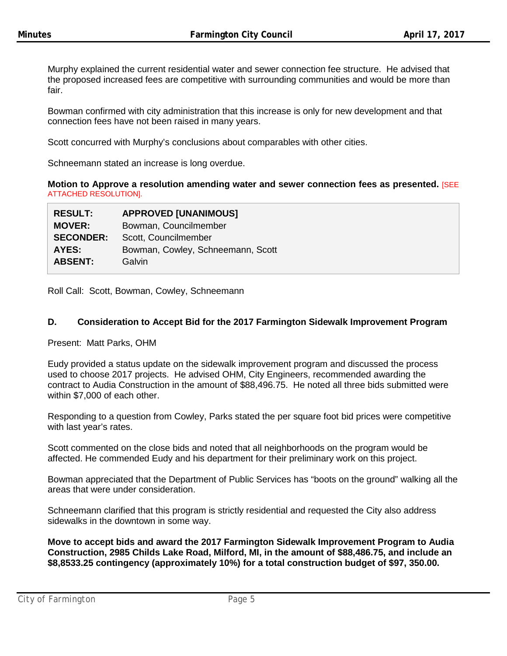Murphy explained the current residential water and sewer connection fee structure. He advised that the proposed increased fees are competitive with surrounding communities and would be more than fair.

Bowman confirmed with city administration that this increase is only for new development and that connection fees have not been raised in many years.

Scott concurred with Murphy's conclusions about comparables with other cities.

Schneemann stated an increase is long overdue.

**Motion to Approve a resolution amending water and sewer connection fees as presented.** [SEE ATTACHED RESOLUTION].

| <b>RESULT:</b>   | <b>APPROVED [UNANIMOUS]</b>       |
|------------------|-----------------------------------|
| <b>MOVER:</b>    | Bowman, Councilmember             |
| <b>SECONDER:</b> | Scott, Councilmember              |
| <b>AYES:</b>     | Bowman, Cowley, Schneemann, Scott |
| <b>ABSENT:</b>   | Galvin                            |

Roll Call: Scott, Bowman, Cowley, Schneemann

#### **D. Consideration to Accept Bid for the 2017 Farmington Sidewalk Improvement Program**

Present: Matt Parks, OHM

Eudy provided a status update on the sidewalk improvement program and discussed the process used to choose 2017 projects. He advised OHM, City Engineers, recommended awarding the contract to Audia Construction in the amount of \$88,496.75. He noted all three bids submitted were within \$7,000 of each other.

Responding to a question from Cowley, Parks stated the per square foot bid prices were competitive with last year's rates.

Scott commented on the close bids and noted that all neighborhoods on the program would be affected. He commended Eudy and his department for their preliminary work on this project.

Bowman appreciated that the Department of Public Services has "boots on the ground" walking all the areas that were under consideration.

Schneemann clarified that this program is strictly residential and requested the City also address sidewalks in the downtown in some way.

**Move to accept bids and award the 2017 Farmington Sidewalk Improvement Program to Audia Construction, 2985 Childs Lake Road, Milford, MI, in the amount of \$88,486.75, and include an \$8,8533.25 contingency (approximately 10%) for a total construction budget of \$97, 350.00.**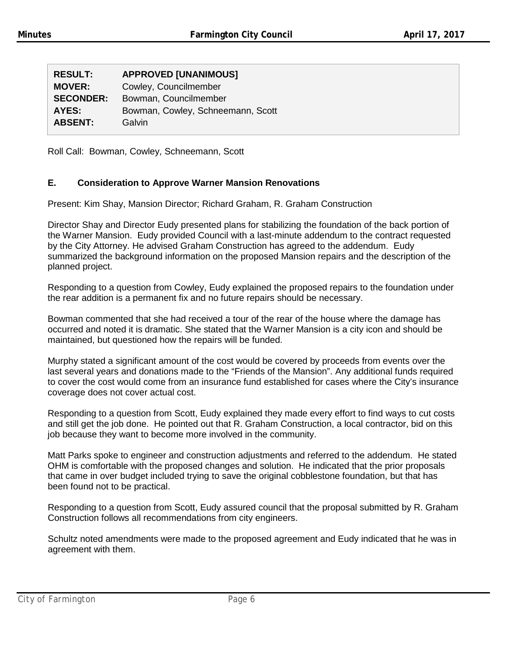| <b>RESULT:</b>   | <b>APPROVED [UNANIMOUS]</b>       |
|------------------|-----------------------------------|
| <b>MOVER:</b>    | Cowley, Councilmember             |
| <b>SECONDER:</b> | Bowman, Councilmember             |
| AYES:            | Bowman, Cowley, Schneemann, Scott |
| <b>ABSENT:</b>   | Galvin                            |
|                  |                                   |

Roll Call: Bowman, Cowley, Schneemann, Scott

### **E. Consideration to Approve Warner Mansion Renovations**

Present: Kim Shay, Mansion Director; Richard Graham, R. Graham Construction

Director Shay and Director Eudy presented plans for stabilizing the foundation of the back portion of the Warner Mansion. Eudy provided Council with a last-minute addendum to the contract requested by the City Attorney. He advised Graham Construction has agreed to the addendum. Eudy summarized the background information on the proposed Mansion repairs and the description of the planned project.

Responding to a question from Cowley, Eudy explained the proposed repairs to the foundation under the rear addition is a permanent fix and no future repairs should be necessary.

Bowman commented that she had received a tour of the rear of the house where the damage has occurred and noted it is dramatic. She stated that the Warner Mansion is a city icon and should be maintained, but questioned how the repairs will be funded.

Murphy stated a significant amount of the cost would be covered by proceeds from events over the last several years and donations made to the "Friends of the Mansion". Any additional funds required to cover the cost would come from an insurance fund established for cases where the City's insurance coverage does not cover actual cost.

Responding to a question from Scott, Eudy explained they made every effort to find ways to cut costs and still get the job done. He pointed out that R. Graham Construction, a local contractor, bid on this job because they want to become more involved in the community.

Matt Parks spoke to engineer and construction adjustments and referred to the addendum. He stated OHM is comfortable with the proposed changes and solution. He indicated that the prior proposals that came in over budget included trying to save the original cobblestone foundation, but that has been found not to be practical.

Responding to a question from Scott, Eudy assured council that the proposal submitted by R. Graham Construction follows all recommendations from city engineers.

Schultz noted amendments were made to the proposed agreement and Eudy indicated that he was in agreement with them.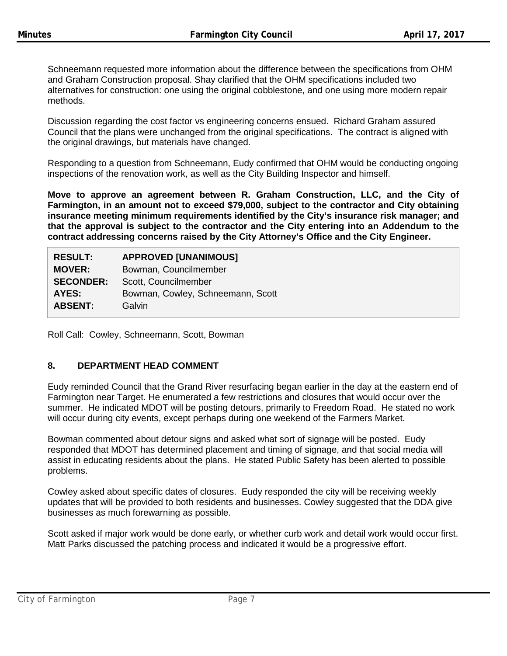Schneemann requested more information about the difference between the specifications from OHM and Graham Construction proposal. Shay clarified that the OHM specifications included two alternatives for construction: one using the original cobblestone, and one using more modern repair methods.

Discussion regarding the cost factor vs engineering concerns ensued. Richard Graham assured Council that the plans were unchanged from the original specifications. The contract is aligned with the original drawings, but materials have changed.

Responding to a question from Schneemann, Eudy confirmed that OHM would be conducting ongoing inspections of the renovation work, as well as the City Building Inspector and himself.

**Move to approve an agreement between R. Graham Construction, LLC, and the City of Farmington, in an amount not to exceed \$79,000, subject to the contractor and City obtaining insurance meeting minimum requirements identified by the City's insurance risk manager; and that the approval is subject to the contractor and the City entering into an Addendum to the contract addressing concerns raised by the City Attorney's Office and the City Engineer.**

| <b>RESULT:</b>   | <b>APPROVED [UNANIMOUS]</b>       |
|------------------|-----------------------------------|
| <b>MOVER:</b>    | Bowman, Councilmember             |
| <b>SECONDER:</b> | Scott, Councilmember              |
| AYES:            | Bowman, Cowley, Schneemann, Scott |
| <b>ABSENT:</b>   | Galvin                            |

Roll Call: Cowley, Schneemann, Scott, Bowman

## **8. DEPARTMENT HEAD COMMENT**

Eudy reminded Council that the Grand River resurfacing began earlier in the day at the eastern end of Farmington near Target. He enumerated a few restrictions and closures that would occur over the summer. He indicated MDOT will be posting detours, primarily to Freedom Road. He stated no work will occur during city events, except perhaps during one weekend of the Farmers Market.

Bowman commented about detour signs and asked what sort of signage will be posted. Eudy responded that MDOT has determined placement and timing of signage, and that social media will assist in educating residents about the plans. He stated Public Safety has been alerted to possible problems.

Cowley asked about specific dates of closures. Eudy responded the city will be receiving weekly updates that will be provided to both residents and businesses. Cowley suggested that the DDA give businesses as much forewarning as possible.

Scott asked if major work would be done early, or whether curb work and detail work would occur first. Matt Parks discussed the patching process and indicated it would be a progressive effort.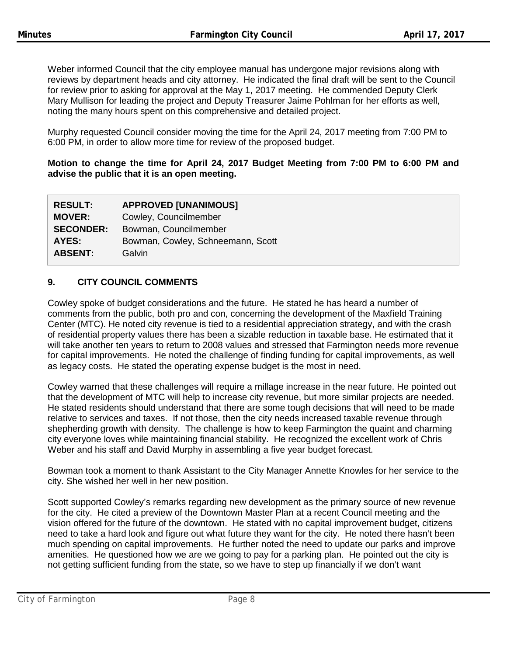Weber informed Council that the city employee manual has undergone major revisions along with reviews by department heads and city attorney. He indicated the final draft will be sent to the Council for review prior to asking for approval at the May 1, 2017 meeting. He commended Deputy Clerk Mary Mullison for leading the project and Deputy Treasurer Jaime Pohlman for her efforts as well, noting the many hours spent on this comprehensive and detailed project.

Murphy requested Council consider moving the time for the April 24, 2017 meeting from 7:00 PM to 6:00 PM, in order to allow more time for review of the proposed budget.

### **Motion to change the time for April 24, 2017 Budget Meeting from 7:00 PM to 6:00 PM and advise the public that it is an open meeting.**

| <b>RESULT:</b>   | <b>APPROVED [UNANIMOUS]</b>       |
|------------------|-----------------------------------|
| <b>MOVER:</b>    | Cowley, Councilmember             |
| <b>SECONDER:</b> | Bowman, Councilmember             |
| AYES:            | Bowman, Cowley, Schneemann, Scott |
| <b>ABSENT:</b>   | Galvin                            |

# **9. CITY COUNCIL COMMENTS**

Cowley spoke of budget considerations and the future. He stated he has heard a number of comments from the public, both pro and con, concerning the development of the Maxfield Training Center (MTC). He noted city revenue is tied to a residential appreciation strategy, and with the crash of residential property values there has been a sizable reduction in taxable base. He estimated that it will take another ten years to return to 2008 values and stressed that Farmington needs more revenue for capital improvements. He noted the challenge of finding funding for capital improvements, as well as legacy costs. He stated the operating expense budget is the most in need.

Cowley warned that these challenges will require a millage increase in the near future. He pointed out that the development of MTC will help to increase city revenue, but more similar projects are needed. He stated residents should understand that there are some tough decisions that will need to be made relative to services and taxes. If not those, then the city needs increased taxable revenue through shepherding growth with density. The challenge is how to keep Farmington the quaint and charming city everyone loves while maintaining financial stability. He recognized the excellent work of Chris Weber and his staff and David Murphy in assembling a five year budget forecast.

Bowman took a moment to thank Assistant to the City Manager Annette Knowles for her service to the city. She wished her well in her new position.

Scott supported Cowley's remarks regarding new development as the primary source of new revenue for the city. He cited a preview of the Downtown Master Plan at a recent Council meeting and the vision offered for the future of the downtown. He stated with no capital improvement budget, citizens need to take a hard look and figure out what future they want for the city. He noted there hasn't been much spending on capital improvements. He further noted the need to update our parks and improve amenities. He questioned how we are we going to pay for a parking plan. He pointed out the city is not getting sufficient funding from the state, so we have to step up financially if we don't want